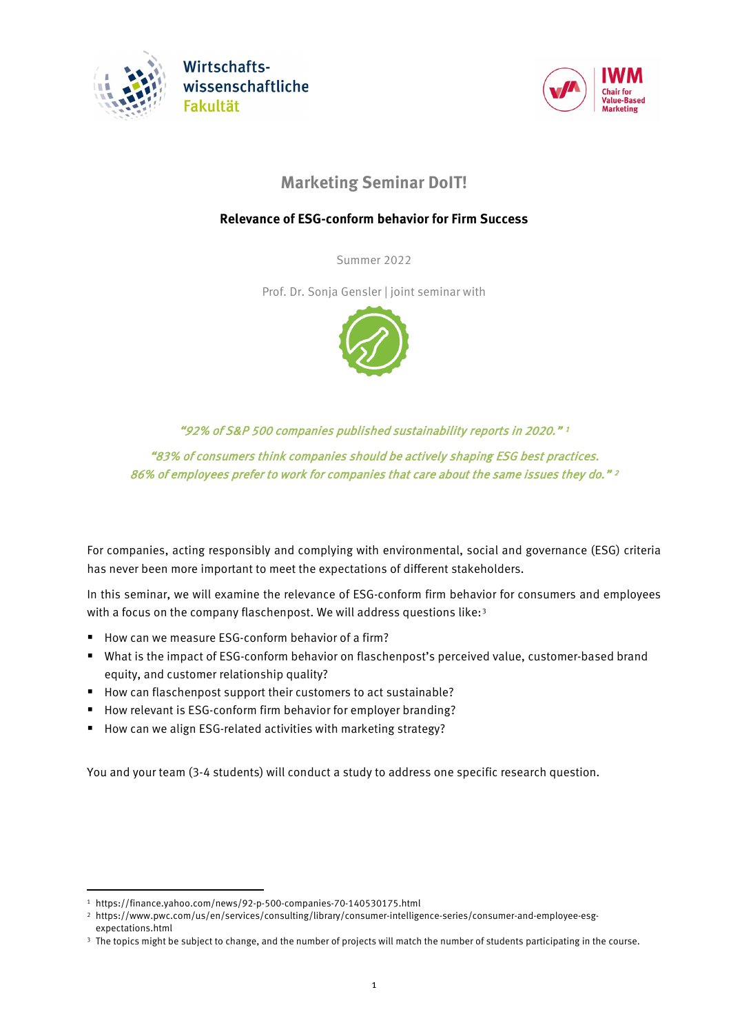

**Wirtschafts**wissenschaftliche **Fakultät** 



# **Marketing Seminar DoIT!**

## **Relevance of ESG-conform behavior for Firm Success**

Summer 2022

Prof. Dr. Sonja Gensler | joint seminar with



"92% of S&P 500 companies published sustainability reports in 2020." 1 "83% of consumers think companies should be actively shaping ESG best practices. 86% of employees prefer to work for companies that care about the same issues they do." [2](#page-0-0)

For companies, acting responsibly and complying with environmental, social and governance (ESG) criteria has never been more important to meet the expectations of different stakeholders.

In this seminar, we will examine the relevance of ESG-conform firm behavior for consumers and employees with a focus on the company flaschenpost. We will address questions like:<sup>[3](#page-0-1)</sup>

- How can we measure ESG-conform behavior of a firm?
- What is the impact of ESG-conform behavior on flaschenpost's perceived value, customer-based brand equity, and customer relationship quality?
- How can flaschenpost support their customers to act sustainable?
- How relevant is ESG-conform firm behavior for employer branding?
- How can we align ESG-related activities with marketing strategy?

You and your team (3-4 students) will conduct a study to address one specific research question.

 $\overline{a}$ 

<sup>1</sup> https://finance.yahoo.com/news/92-p-500-companies-70-140530175.html

<sup>2</sup> https://www.pwc.com/us/en/services/consulting/library/consumer-intelligence-series/consumer-and-employee-esg-

<span id="page-0-1"></span><span id="page-0-0"></span>expectations.html

<sup>&</sup>lt;sup>3</sup> The topics might be subject to change, and the number of projects will match the number of students participating in the course.